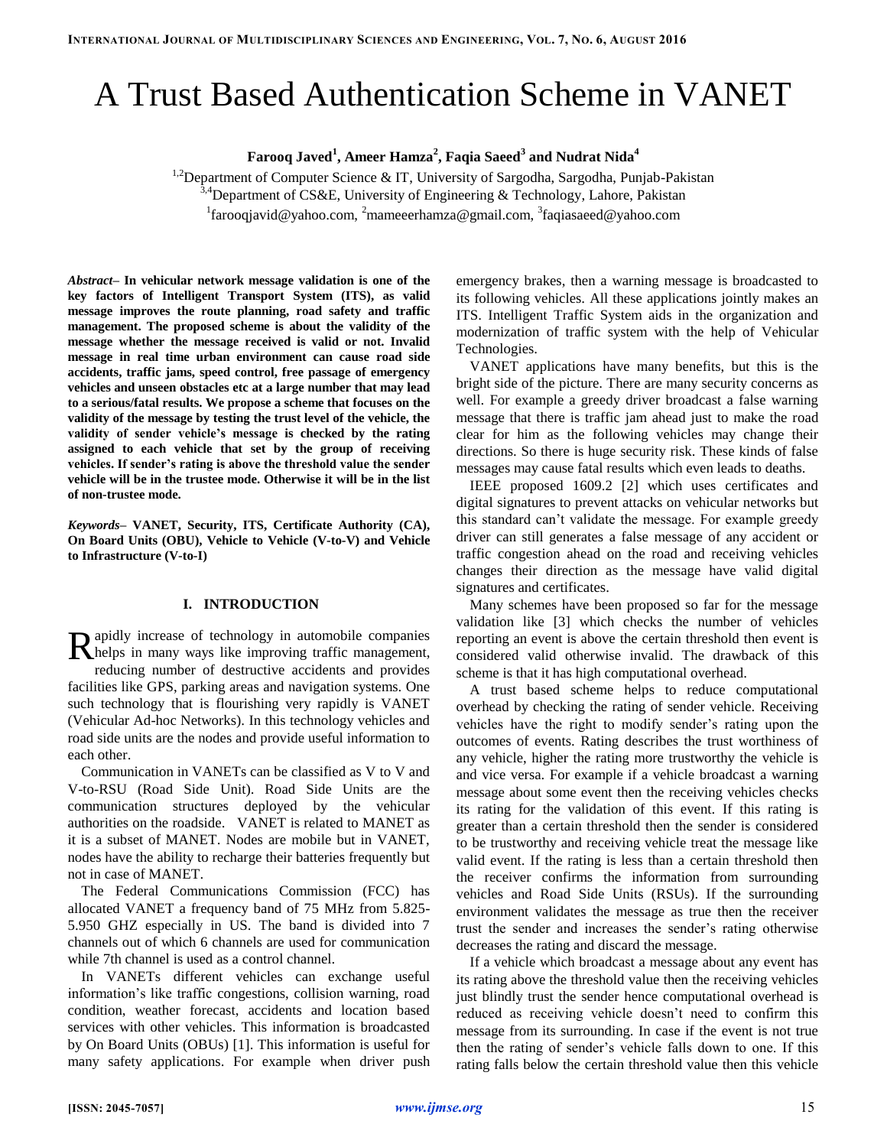# A Trust Based Authentication Scheme in VANET

**Farooq Javed<sup>1</sup> , Ameer Hamza<sup>2</sup> , Faqia Saeed<sup>3</sup> and Nudrat Nida<sup>4</sup>**

<sup>1,2</sup>Department of Computer Science & IT, University of Sargodha, Sargodha, Punjab-Pakistan <sup>3,4</sup>Department of CS&E, University of Engineering & Technology, Lahore, Pakistan <sup>1</sup> farooqjavid@yahoo.com, <sup>2</sup>mameeerhamza@gmail.com, <sup>3</sup>faqiasaeed@yahoo.com

*Abstract–* **In vehicular network message validation is one of the key factors of Intelligent Transport System (ITS), as valid message improves the route planning, road safety and traffic management. The proposed scheme is about the validity of the message whether the message received is valid or not. Invalid message in real time urban environment can cause road side accidents, traffic jams, speed control, free passage of emergency vehicles and unseen obstacles etc at a large number that may lead to a serious/fatal results. We propose a scheme that focuses on the validity of the message by testing the trust level of the vehicle, the validity of sender vehicle's message is checked by the rating assigned to each vehicle that set by the group of receiving vehicles. If sender's rating is above the threshold value the sender vehicle will be in the trustee mode. Otherwise it will be in the list of non-trustee mode.**

*Keywords–* **VANET, Security, ITS, Certificate Authority (CA), On Board Units (OBU), Vehicle to Vehicle (V-to-V) and Vehicle to Infrastructure (V-to-I)**

## **I. INTRODUCTION**

apidly increase of technology in automobile companies Rapidly increase of technology in automobile companies Rhelps in many ways like improving traffic management, reducing number of destructive accidents and provides facilities like GPS, parking areas and navigation systems. One such technology that is flourishing very rapidly is VANET (Vehicular Ad-hoc Networks). In this technology vehicles and road side units are the nodes and provide useful information to each other.

Communication in VANETs can be classified as V to V and V-to-RSU (Road Side Unit). Road Side Units are the communication structures deployed by the vehicular authorities on the roadside. VANET is related to MANET as it is a subset of MANET. Nodes are mobile but in VANET, nodes have the ability to recharge their batteries frequently but not in case of MANET.

The Federal Communications Commission (FCC) has allocated VANET a frequency band of 75 MHz from 5.825- 5.950 GHZ especially in US. The band is divided into 7 channels out of which 6 channels are used for communication while 7th channel is used as a control channel.

In VANETs different vehicles can exchange useful information's like traffic congestions, collision warning, road condition, weather forecast, accidents and location based services with other vehicles. This information is broadcasted by On Board Units (OBUs) [1]. This information is useful for many safety applications. For example when driver push emergency brakes, then a warning message is broadcasted to its following vehicles. All these applications jointly makes an ITS. Intelligent Traffic System aids in the organization and modernization of traffic system with the help of Vehicular Technologies.

VANET applications have many benefits, but this is the bright side of the picture. There are many security concerns as well. For example a greedy driver broadcast a false warning message that there is traffic jam ahead just to make the road clear for him as the following vehicles may change their directions. So there is huge security risk. These kinds of false messages may cause fatal results which even leads to deaths.

IEEE proposed 1609.2 [2] which uses certificates and digital signatures to prevent attacks on vehicular networks but this standard can't validate the message. For example greedy driver can still generates a false message of any accident or traffic congestion ahead on the road and receiving vehicles changes their direction as the message have valid digital signatures and certificates.

Many schemes have been proposed so far for the message validation like [3] which checks the number of vehicles reporting an event is above the certain threshold then event is considered valid otherwise invalid. The drawback of this scheme is that it has high computational overhead.

A trust based scheme helps to reduce computational overhead by checking the rating of sender vehicle. Receiving vehicles have the right to modify sender's rating upon the outcomes of events. Rating describes the trust worthiness of any vehicle, higher the rating more trustworthy the vehicle is and vice versa. For example if a vehicle broadcast a warning message about some event then the receiving vehicles checks its rating for the validation of this event. If this rating is greater than a certain threshold then the sender is considered to be trustworthy and receiving vehicle treat the message like valid event. If the rating is less than a certain threshold then the receiver confirms the information from surrounding vehicles and Road Side Units (RSUs). If the surrounding environment validates the message as true then the receiver trust the sender and increases the sender's rating otherwise decreases the rating and discard the message.

If a vehicle which broadcast a message about any event has its rating above the threshold value then the receiving vehicles just blindly trust the sender hence computational overhead is reduced as receiving vehicle doesn't need to confirm this message from its surrounding. In case if the event is not true then the rating of sender's vehicle falls down to one. If this rating falls below the certain threshold value then this vehicle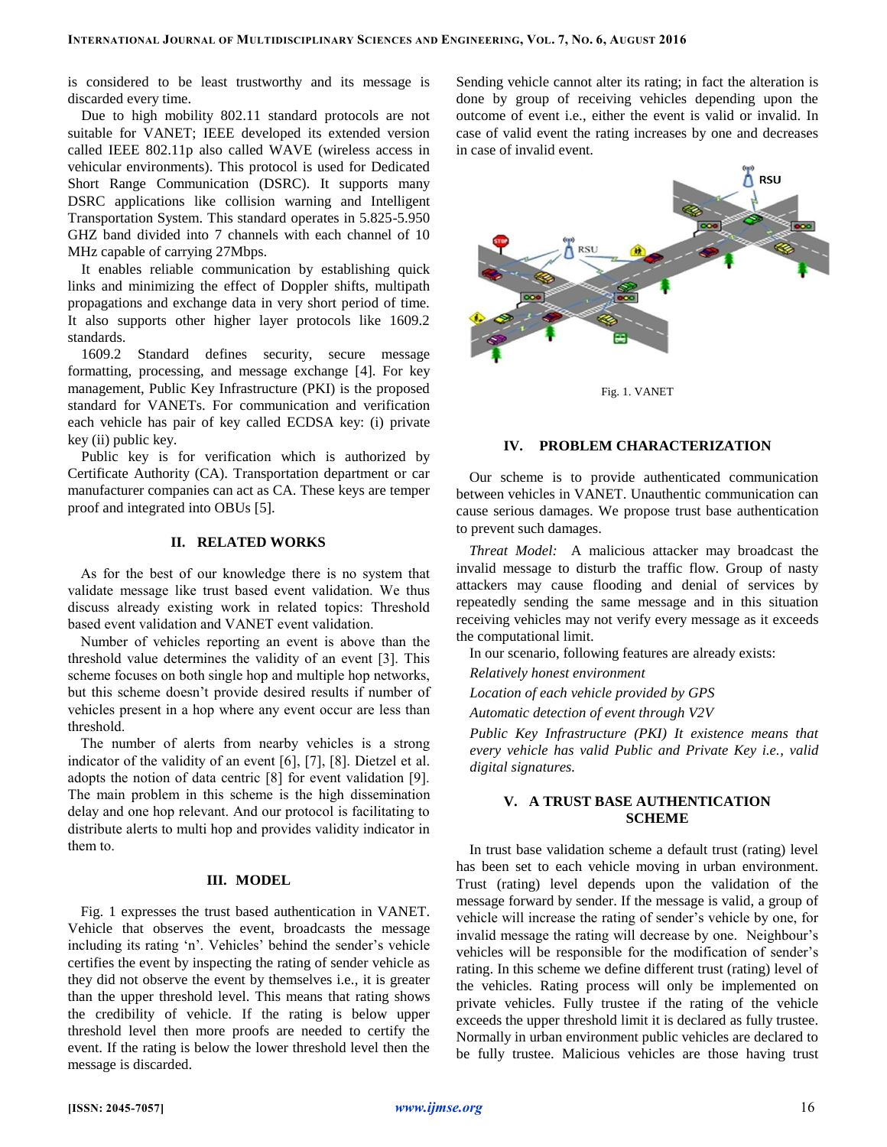is considered to be least trustworthy and its message is discarded every time.

Due to high mobility 802.11 standard protocols are not suitable for VANET; IEEE developed its extended version called IEEE 802.11p also called WAVE (wireless access in vehicular environments). This protocol is used for Dedicated Short Range Communication (DSRC). It supports many DSRC applications like collision warning and Intelligent Transportation System. This standard operates in 5.825-5.950 GHZ band divided into 7 channels with each channel of 10 MHz capable of carrying 27Mbps.

It enables reliable communication by establishing quick links and minimizing the effect of Doppler shifts, multipath propagations and exchange data in very short period of time. It also supports other higher layer protocols like 1609.2 standards.

1609.2 Standard defines security, secure message formatting, processing, and message exchange [4]. For key management, Public Key Infrastructure (PKI) is the proposed standard for VANETs. For communication and verification each vehicle has pair of key called ECDSA key: (i) private key (ii) public key.

Public key is for verification which is authorized by Certificate Authority (CA). Transportation department or car manufacturer companies can act as CA. These keys are temper proof and integrated into OBUs [5].

## **II. RELATED WORKS**

As for the best of our knowledge there is no system that validate message like trust based event validation. We thus discuss already existing work in related topics: Threshold based event validation and VANET event validation.

Number of vehicles reporting an event is above than the threshold value determines the validity of an event [3]. This scheme focuses on both single hop and multiple hop networks, but this scheme doesn't provide desired results if number of vehicles present in a hop where any event occur are less than threshold.

The number of alerts from nearby vehicles is a strong indicator of the validity of an event [6], [7], [8]. Dietzel et al. adopts the notion of data centric [8] for event validation [9]. The main problem in this scheme is the high dissemination delay and one hop relevant. And our protocol is facilitating to distribute alerts to multi hop and provides validity indicator in them to.

## **III. MODEL**

Fig. 1 expresses the trust based authentication in VANET. Vehicle that observes the event, broadcasts the message including its rating 'n'. Vehicles' behind the sender's vehicle certifies the event by inspecting the rating of sender vehicle as they did not observe the event by themselves i.e., it is greater than the upper threshold level. This means that rating shows the credibility of vehicle. If the rating is below upper threshold level then more proofs are needed to certify the event. If the rating is below the lower threshold level then the message is discarded.

Sending vehicle cannot alter its rating; in fact the alteration is done by group of receiving vehicles depending upon the outcome of event i.e., either the event is valid or invalid. In case of valid event the rating increases by one and decreases in case of invalid event.



Fig. 1. VANET

## **IV. PROBLEM CHARACTERIZATION**

Our scheme is to provide authenticated communication between vehicles in VANET. Unauthentic communication can cause serious damages. We propose trust base authentication to prevent such damages.

*Threat Model:* A malicious attacker may broadcast the invalid message to disturb the traffic flow. Group of nasty attackers may cause flooding and denial of services by repeatedly sending the same message and in this situation receiving vehicles may not verify every message as it exceeds the computational limit.

In our scenario, following features are already exists:

*Relatively honest environment*

*Location of each vehicle provided by GPS* 

*Automatic detection of event through V2V*

*Public Key Infrastructure (PKI) It existence means that every vehicle has valid Public and Private Key i.e., valid digital signatures.* 

#### **V. A TRUST BASE AUTHENTICATION SCHEME**

In trust base validation scheme a default trust (rating) level has been set to each vehicle moving in urban environment. Trust (rating) level depends upon the validation of the message forward by sender. If the message is valid, a group of vehicle will increase the rating of sender's vehicle by one, for invalid message the rating will decrease by one. Neighbour's vehicles will be responsible for the modification of sender's rating. In this scheme we define different trust (rating) level of the vehicles. Rating process will only be implemented on private vehicles. Fully trustee if the rating of the vehicle exceeds the upper threshold limit it is declared as fully trustee. Normally in urban environment public vehicles are declared to be fully trustee. Malicious vehicles are those having trust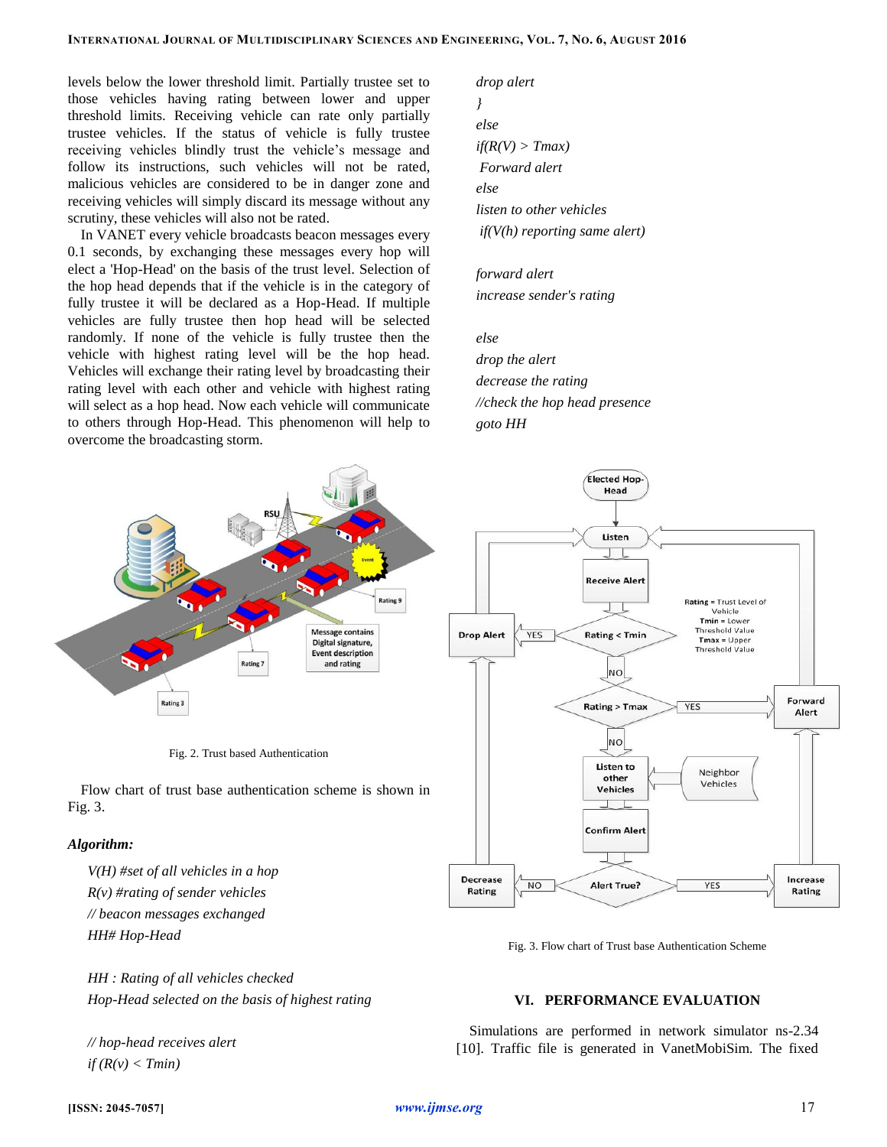levels below the lower threshold limit. Partially trustee set to those vehicles having rating between lower and upper threshold limits. Receiving vehicle can rate only partially trustee vehicles. If the status of vehicle is fully trustee receiving vehicles blindly trust the vehicle's message and follow its instructions, such vehicles will not be rated, malicious vehicles are considered to be in danger zone and receiving vehicles will simply discard its message without any scrutiny, these vehicles will also not be rated.

In VANET every vehicle broadcasts beacon messages every 0.1 seconds, by exchanging these messages every hop will elect a 'Hop-Head' on the basis of the trust level. Selection of the hop head depends that if the vehicle is in the category of fully trustee it will be declared as a Hop-Head. If multiple vehicles are fully trustee then hop head will be selected randomly. If none of the vehicle is fully trustee then the vehicle with highest rating level will be the hop head. Vehicles will exchange their rating level by broadcasting their rating level with each other and vehicle with highest rating will select as a hop head. Now each vehicle will communicate to others through Hop-Head. This phenomenon will help to overcome the broadcasting storm.

*drop alert } else if(R(V) > Tmax) Forward alert else listen to other vehicles if(V(h) reporting same alert)*

*forward alert increase sender's rating*

*else*

*drop the alert decrease the rating //check the hop head presence goto HH*



Fig. 2. Trust based Authentication

Flow chart of trust base authentication scheme is shown in Fig. 3.

## *Algorithm:*

*V(H) #set of all vehicles in a hop R(v) #rating of sender vehicles // beacon messages exchanged HH# Hop-Head*

*HH : Rating of all vehicles checked Hop-Head selected on the basis of highest rating*

*// hop-head receives alert*  $if$   $(R(v) < Tmin)$ 





## **VI. PERFORMANCE EVALUATION**

Simulations are performed in network simulator ns-2.34 [10]. Traffic file is generated in VanetMobiSim. The fixed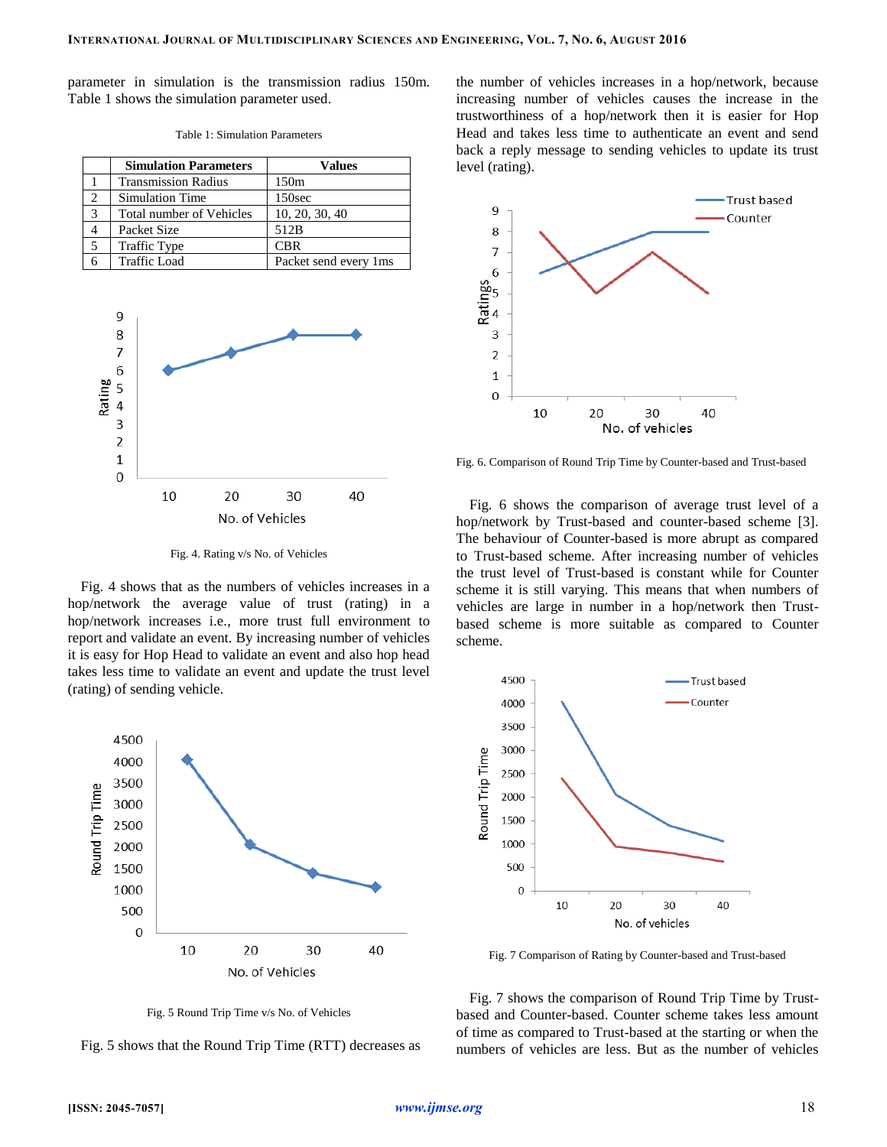parameter in simulation is the transmission radius 150m. Table 1 shows the simulation parameter used.

|                | <b>Simulation Parameters</b> | <b>Values</b>         |
|----------------|------------------------------|-----------------------|
|                | <b>Transmission Radius</b>   | 150m                  |
| $\mathfrak{D}$ | <b>Simulation Time</b>       | 150sec                |
| $\mathcal{R}$  | Total number of Vehicles     | 10, 20, 30, 40        |
|                | Packet Size                  | 512B                  |
|                | <b>Traffic Type</b>          | <b>CBR</b>            |
|                | <b>Traffic Load</b>          | Packet send every 1ms |

Table 1: Simulation Parameters



Fig. 4. Rating v/s No. of Vehicles

Fig. 4 shows that as the numbers of vehicles increases in a hop/network the average value of trust (rating) in a hop/network increases i.e., more trust full environment to report and validate an event. By increasing number of vehicles it is easy for Hop Head to validate an event and also hop head takes less time to validate an event and update the trust level (rating) of sending vehicle.



Fig. 5 Round Trip Time v/s No. of Vehicles

Fig. 5 shows that the Round Trip Time (RTT) decreases as

the number of vehicles increases in a hop/network, because increasing number of vehicles causes the increase in the trustworthiness of a hop/network then it is easier for Hop Head and takes less time to authenticate an event and send back a reply message to sending vehicles to update its trust level (rating).



Fig. 6. Comparison of Round Trip Time by Counter-based and Trust-based

Fig. 6 shows the comparison of average trust level of a hop/network by Trust-based and counter-based scheme [3]. The behaviour of Counter-based is more abrupt as compared to Trust-based scheme. After increasing number of vehicles the trust level of Trust-based is constant while for Counter scheme it is still varying. This means that when numbers of vehicles are large in number in a hop/network then Trustbased scheme is more suitable as compared to Counter scheme.



Fig. 7 Comparison of Rating by Counter-based and Trust-based

Fig. 7 shows the comparison of Round Trip Time by Trustbased and Counter-based. Counter scheme takes less amount of time as compared to Trust-based at the starting or when the numbers of vehicles are less. But as the number of vehicles